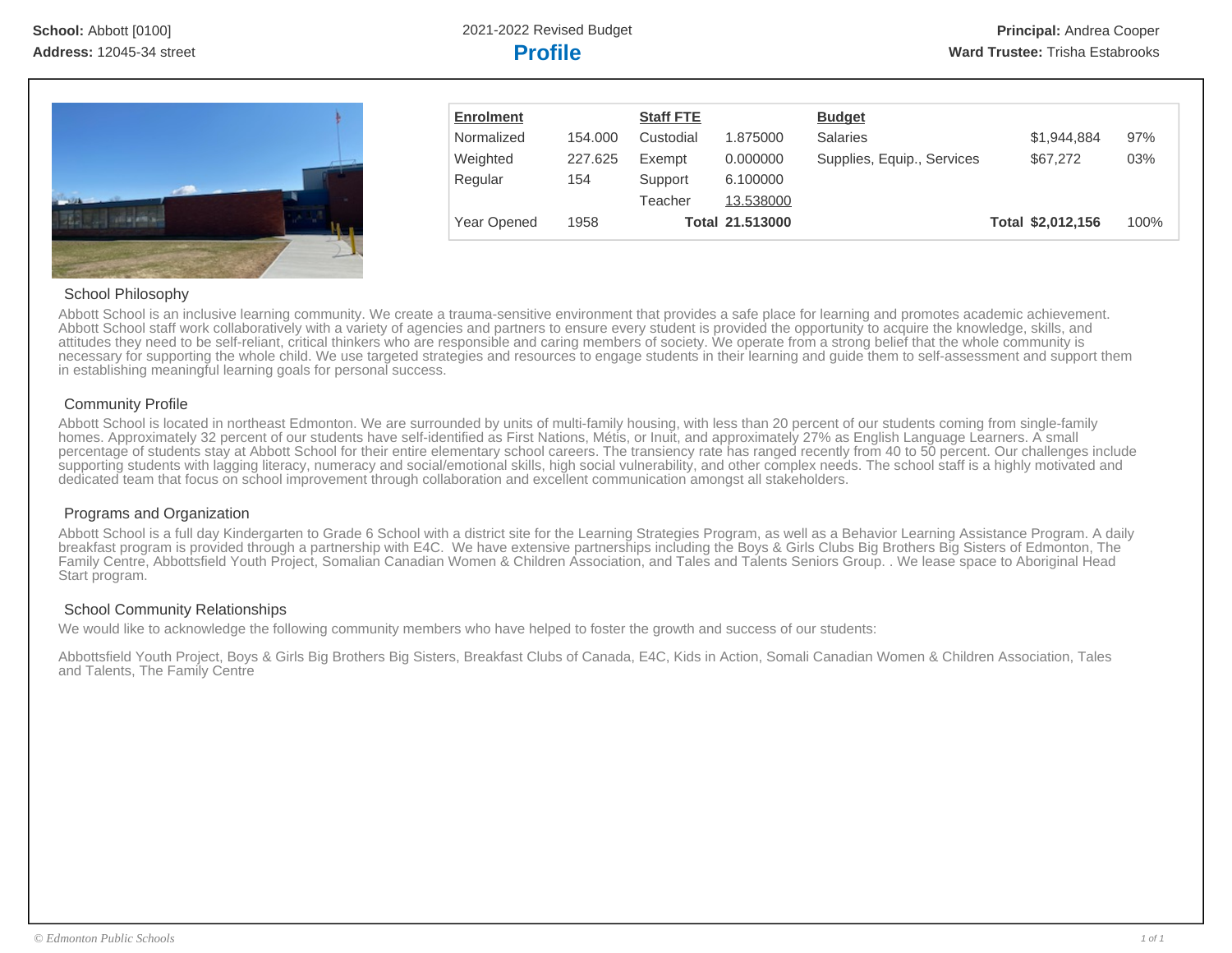

| <b>Enrolment</b> |         | <b>Staff FTE</b> |                 | <b>Budget</b>              |                   |      |
|------------------|---------|------------------|-----------------|----------------------------|-------------------|------|
| Normalized       | 154.000 | Custodial        | 1.875000        | <b>Salaries</b>            | \$1,944,884       | 97%  |
| Weighted         | 227.625 | Exempt           | 0.000000        | Supplies, Equip., Services | \$67,272          | 03%  |
| Regular          | 154     | Support          | 6.100000        |                            |                   |      |
|                  |         | Teacher          | 13.538000       |                            |                   |      |
| Year Opened      | 1958    |                  | Total 21.513000 |                            | Total \$2,012,156 | 100% |

#### School Philosophy

Abbott School is an inclusive learning community. We create a trauma-sensitive environment that provides a safe place for learning and promotes academic achievement. Abbott School staff work collaboratively with a variety of agencies and partners to ensure every student is provided the opportunity to acquire the knowledge, skills, and attitudes they need to be self-reliant, critical thinkers who are responsible and caring members of society. We operate from a strong belief that the whole community is necessary for supporting the whole child. We use targeted strategies and resources to engage students in their learning and guide them to self-assessment and support them in establishing meaningful learning goals for personal success.

#### Community Profile

Abbott School is located in northeast Edmonton. We are surrounded by units of multi-family housing, with less than 20 percent of our students coming from single-family homes. Approximately 32 percent of our students have self-identified as First Nations, Métis, or Inuit, and approximately 27% as English Language Learners. A small percentage of students stay at Abbott School for their entire elementary school careers. The transiency rate has ranged recently from 40 to 50 percent. Our challenges include supporting students with lagging literacy, numeracy and social/emotional skills, high social vulnerability, and other complex needs. The school staff is a highly motivated and dedicated team that focus on school improvement through collaboration and excellent communication amongst all stakeholders.

#### Programs and Organization

Abbott School is a full day Kindergarten to Grade 6 School with a district site for the Learning Strategies Program, as well as a Behavior Learning Assistance Program. A daily breakfast program is provided through a partnership with E4C. We have extensive partnerships including the Boys & Girls Clubs Big Brothers Big Sisters of Edmonton, The Family Centre, Abbottsfield Youth Project, Somalian Canadian Women & Children Association, and Tales and Talents Seniors Group. . We lease space to Aboriginal Head Start program.

#### School Community Relationships

We would like to acknowledge the following community members who have helped to foster the growth and success of our students:

Abbottsfield Youth Project, Boys & Girls Big Brothers Big Sisters, Breakfast Clubs of Canada, E4C, Kids in Action, Somali Canadian Women & Children Association, Tales and Talents, The Family Centre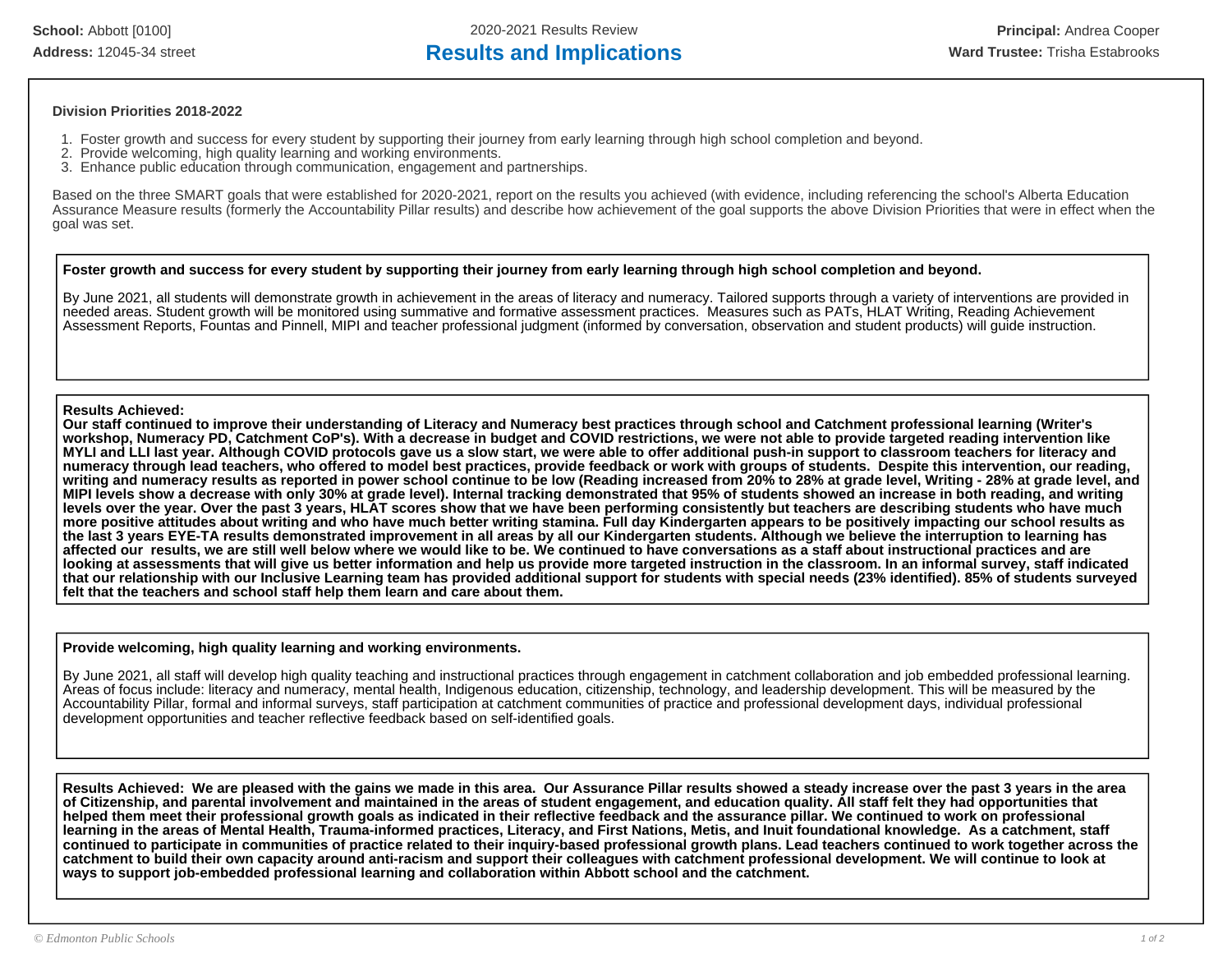**School:** Abbott [0100] 2020-2021 Results Review **Principal:** Andrea Cooper

### Address: 12045-34 street **Results and Implications Results and Implications Ward Trustee:** Trisha Estabrooks

#### **Division Priorities 2018-2022**

- 1. Foster growth and success for every student by supporting their journey from early learning through high school completion and beyond.
- 2. Provide welcoming, high quality learning and working environments.
- 3. Enhance public education through communication, engagement and partnerships.

Based on the three SMART goals that were established for 2020-2021, report on the results you achieved (with evidence, including referencing the school's Alberta Education Assurance Measure results (formerly the Accountability Pillar results) and describe how achievement of the goal supports the above Division Priorities that were in effect when the goal was set.

#### **Foster growth and success for every student by supporting their journey from early learning through high school completion and beyond.**

By June 2021, all students will demonstrate growth in achievement in the areas of literacy and numeracy. Tailored supports through a variety of interventions are provided in needed areas. Student growth will be monitored using summative and formative assessment practices. Measures such as PATs, HLAT Writing, Reading Achievement Assessment Reports, Fountas and Pinnell, MIPI and teacher professional judgment (informed by conversation, observation and student products) will guide instruction.

#### **Results Achieved:**

**Our staff continued to improve their understanding of Literacy and Numeracy best practices through school and Catchment professional learning (Writer's workshop, Numeracy PD, Catchment CoP's). With a decrease in budget and COVID restrictions, we were not able to provide targeted reading intervention like MYLI and LLI last year. Although COVID protocols gave us a slow start, we were able to offer additional push-in support to classroom teachers for literacy and numeracy through lead teachers, who offered to model best practices, provide feedback or work with groups of students. Despite this intervention, our reading, writing and numeracy results as reported in power school continue to be low (Reading increased from 20% to 28% at grade level, Writing - 28% at grade level, and MIPI levels show a decrease with only 30% at grade level). Internal tracking demonstrated that 95% of students showed an increase in both reading, and writing levels over the year. Over the past 3 years, HLAT scores show that we have been performing consistently but teachers are describing students who have much more positive attitudes about writing and who have much better writing stamina. Full day Kindergarten appears to be positively impacting our school results as the last 3 years EYE-TA results demonstrated improvement in all areas by all our Kindergarten students. Although we believe the interruption to learning has affected our results, we are still well below where we would like to be. We continued to have conversations as a staff about instructional practices and are looking at assessments that will give us better information and help us provide more targeted instruction in the classroom. In an informal survey, staff indicated that our relationship with our Inclusive Learning team has provided additional support for students with special needs (23% identified). 85% of students surveyed felt that the teachers and school staff help them learn and care about them.**

#### **Provide welcoming, high quality learning and working environments.**

By June 2021, all staff will develop high quality teaching and instructional practices through engagement in catchment collaboration and job embedded professional learning. Areas of focus include: literacy and numeracy, mental health, Indigenous education, citizenship, technology, and leadership development. This will be measured by the Accountability Pillar, formal and informal surveys, staff participation at catchment communities of practice and professional development days, individual professional development opportunities and teacher reflective feedback based on self-identified goals.

**Results Achieved: We are pleased with the gains we made in this area. Our Assurance Pillar results showed a steady increase over the past 3 years in the area of Citizenship, and parental involvement and maintained in the areas of student engagement, and education quality. All staff felt they had opportunities that helped them meet their professional growth goals as indicated in their reflective feedback and the assurance pillar. We continued to work on professional learning in the areas of Mental Health, Trauma-informed practices, Literacy, and First Nations, Metis, and Inuit foundational knowledge. As a catchment, staff continued to participate in communities of practice related to their inquiry-based professional growth plans. Lead teachers continued to work together across the catchment to build their own capacity around anti-racism and support their colleagues with catchment professional development. We will continue to look at ways to support job-embedded professional learning and collaboration within Abbott school and the catchment.**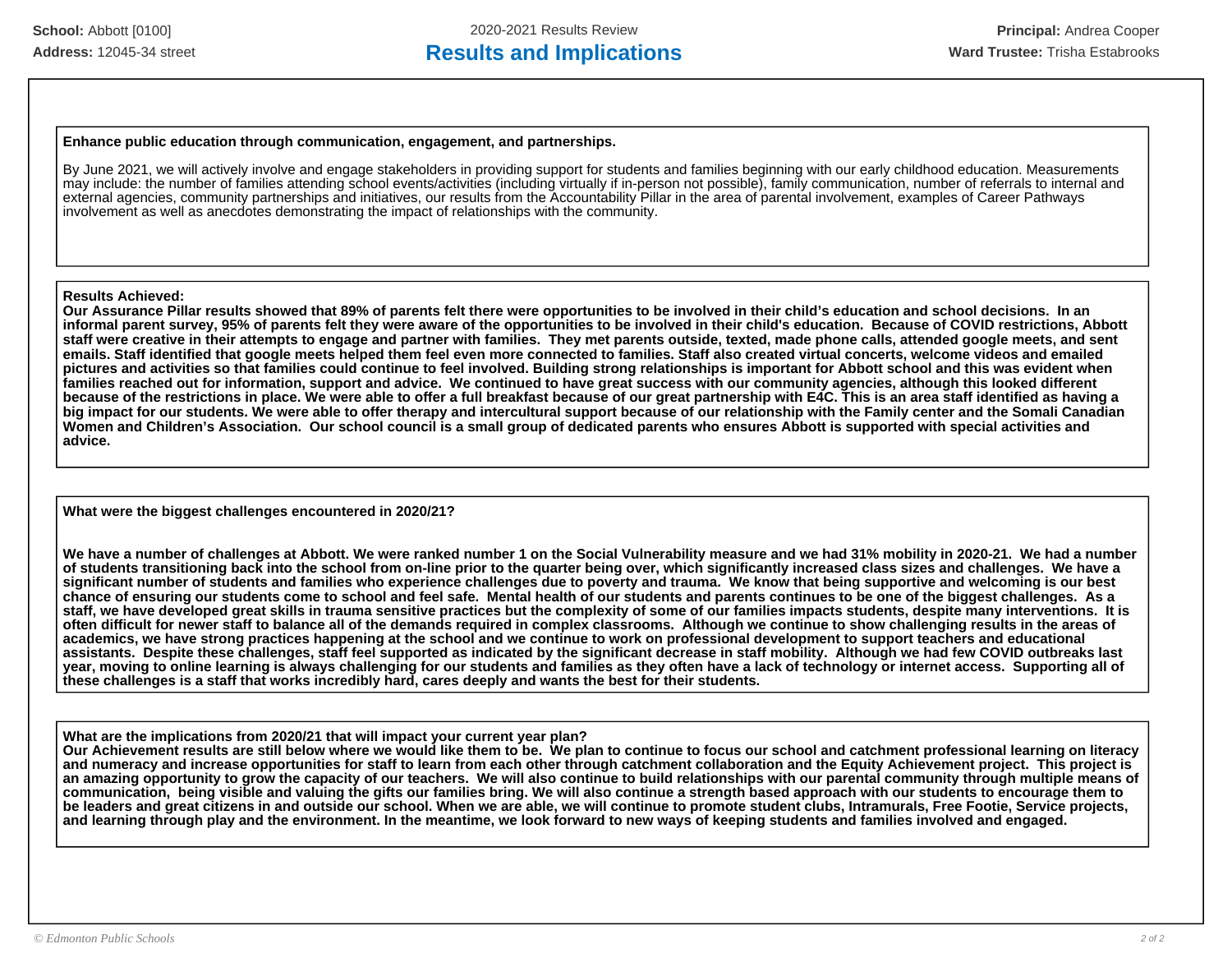#### **Enhance public education through communication, engagement, and partnerships.**

By June 2021, we will actively involve and engage stakeholders in providing support for students and families beginning with our early childhood education. Measurements may include: the number of families attending school events/activities (including virtually if in-person not possible), family communication, number of referrals to internal and external agencies, community partnerships and initiatives, our results from the Accountability Pillar in the area of parental involvement, examples of Career Pathways involvement as well as anecdotes demonstrating the impact of relationships with the community.

#### **Results Achieved:**

**Our Assurance Pillar results showed that 89% of parents felt there were opportunities to be involved in their child's education and school decisions. In an informal parent survey, 95% of parents felt they were aware of the opportunities to be involved in their child's education. Because of COVID restrictions, Abbott staff were creative in their attempts to engage and partner with families. They met parents outside, texted, made phone calls, attended google meets, and sent emails. Staff identified that google meets helped them feel even more connected to families. Staff also created virtual concerts, welcome videos and emailed pictures and activities so that families could continue to feel involved. Building strong relationships is important for Abbott school and this was evident when families reached out for information, support and advice. We continued to have great success with our community agencies, although this looked different because of the restrictions in place. We were able to offer a full breakfast because of our great partnership with E4C. This is an area staff identified as having a big impact for our students. We were able to offer therapy and intercultural support because of our relationship with the Family center and the Somali Canadian Women and Children's Association. Our school council is a small group of dedicated parents who ensures Abbott is supported with special activities and advice.** 

**What were the biggest challenges encountered in 2020/21?**

**We have a number of challenges at Abbott. We were ranked number 1 on the Social Vulnerability measure and we had 31% mobility in 2020-21. We had a number of students transitioning back into the school from on-line prior to the quarter being over, which significantly increased class sizes and challenges. We have a significant number of students and families who experience challenges due to poverty and trauma. We know that being supportive and welcoming is our best chance of ensuring our students come to school and feel safe. Mental health of our students and parents continues to be one of the biggest challenges. As a staff, we have developed great skills in trauma sensitive practices but the complexity of some of our families impacts students, despite many interventions. It is often difficult for newer staff to balance all of the demands required in complex classrooms. Although we continue to show challenging results in the areas of academics, we have strong practices happening at the school and we continue to work on professional development to support teachers and educational assistants. Despite these challenges, staff feel supported as indicated by the significant decrease in staff mobility. Although we had few COVID outbreaks last year, moving to online learning is always challenging for our students and families as they often have a lack of technology or internet access. Supporting all of these challenges is a staff that works incredibly hard, cares deeply and wants the best for their students.** 

**What are the implications from 2020/21 that will impact your current year plan? Our Achievement results are still below where we would like them to be. We plan to continue to focus our school and catchment professional learning on literacy and numeracy and increase opportunities for staff to learn from each other through catchment collaboration and the Equity Achievement project. This project is an amazing opportunity to grow the capacity of our teachers. We will also continue to build relationships with our parental community through multiple means of communication, being visible and valuing the gifts our families bring. We will also continue a strength based approach with our students to encourage them to be leaders and great citizens in and outside our school. When we are able, we will continue to promote student clubs, Intramurals, Free Footie, Service projects, and learning through play and the environment. In the meantime, we look forward to new ways of keeping students and families involved and engaged.**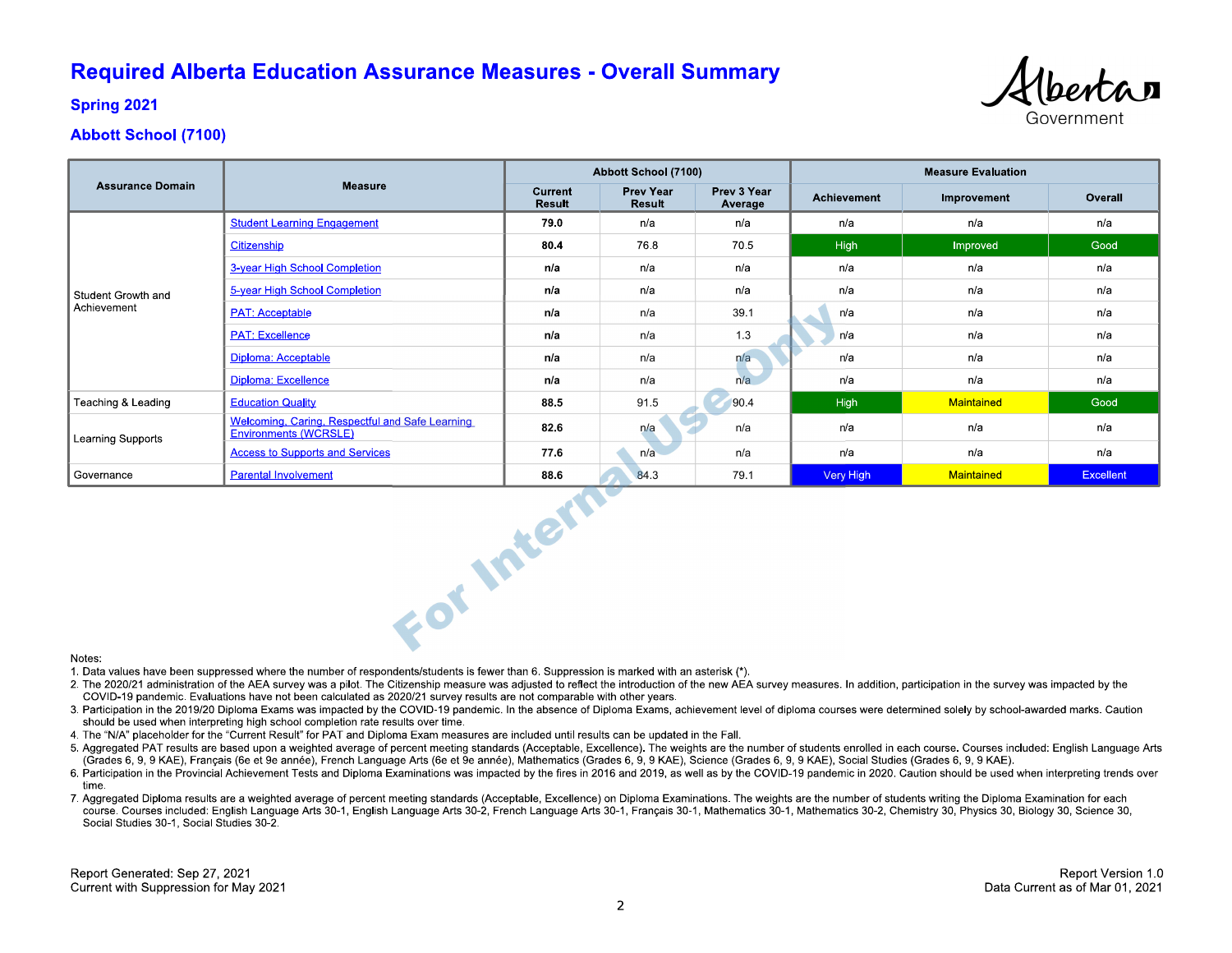## **Required Alberta Education Assurance Measures - Overall Summary**



**Spring 2021** 

### **Abbott School (7100)**

|                                   |                                                                          | Abbott School (7100)     |                            |                        | <b>Measure Evaluation</b> |             |                  |
|-----------------------------------|--------------------------------------------------------------------------|--------------------------|----------------------------|------------------------|---------------------------|-------------|------------------|
| <b>Assurance Domain</b>           | <b>Measure</b>                                                           | Current<br><b>Result</b> | <b>Prev Year</b><br>Result | Prev 3 Year<br>Average | <b>Achievement</b>        | Improvement | Overall          |
| Student Growth and<br>Achievement | <b>Student Learning Engagement</b>                                       | 79.0                     | n/a                        | n/a                    | n/a                       | n/a         | n/a              |
|                                   | Citizenship                                                              | 80.4                     | 76.8                       | 70.5                   | <b>High</b>               | Improved    | Good             |
|                                   | 3-year High School Completion                                            | n/a                      | n/a                        | n/a                    | n/a                       | n/a         | n/a              |
|                                   | 5-year High School Completion                                            | n/a                      | n/a                        | n/a                    | n/a                       | n/a         | n/a              |
|                                   | <b>PAT: Acceptable</b>                                                   | n/a                      | n/a                        | 39.1                   | n/a                       | n/a         | n/a              |
|                                   | <b>PAT: Excellence</b>                                                   | n/a                      | n/a                        | 1.3                    | n/a                       | n/a         | n/a              |
|                                   | Diploma: Acceptable                                                      | n/a                      | n/a                        | n/a                    | n/a                       | n/a         | n/a              |
|                                   | <b>Diploma: Excellence</b>                                               | n/a                      | n/a                        | n/a                    | n/a                       | n/a         | n/a              |
| Teaching & Leading                | <b>Education Quality</b>                                                 | 88.5                     | 91.5                       | 90.4                   | <b>High</b>               | Maintained  | Good             |
| Learning Supports                 | Welcoming, Caring, Respectful and Safe Learning<br>Environments (WCRSLE) | 82.6                     | n/a                        | n/a                    | n/a                       | n/a         | n/a              |
|                                   | <b>Access to Supports and Services</b>                                   | 77.6                     | n/a                        | n/a                    | n/a                       | n/a         | n/a              |
| Governance                        | <b>Parental Involvement</b>                                              | 88.6                     | 84.3                       | 79.1                   | <b>Very High</b>          | Maintained  | <b>Excellent</b> |
| Notes:                            | For Intern                                                               |                          |                            |                        |                           |             |                  |

#### Notes:

1. Data values have been suppressed where the number of respondents/students is fewer than 6. Suppression is marked with an asterisk (\*).

- 2. The 2020/21 administration of the AEA survey was a pilot. The Citizenship measure was adjusted to reflect the introduction of the new AEA survey measures. In addition, participation in the survey was impacted by the COVID-19 pandemic. Evaluations have not been calculated as 2020/21 survey results are not comparable with other years.
- 3. Participation in the 2019/20 Diploma Exams was impacted by the COVID-19 pandemic. In the absence of Diploma Exams, achievement level of diploma courses were determined solely by school-awarded marks. Caution should be used when interpreting high school completion rate results over time.
- 4. The "N/A" placeholder for the "Current Result" for PAT and Diploma Exam measures are included until results can be updated in the Fall.
- 5. Aggregated PAT results are based upon a weighted average of percent meeting standards (Acceptable, Excellence). The weights are the number of students enrolled in each course. Courses included: English Language Arts (Grades 6, 9, 9 KAE), Français (6e et 9e année), French Language Arts (6e et 9e année), Mathematics (Grades 6, 9, 9 KAE), Science (Grades 6, 9, 9 KAE), Social Studies (Grades 6, 9, 9 KAE).
- 6. Participation in the Provincial Achievement Tests and Diploma Examinations was impacted by the fires in 2016 and 2019, as well as by the COVID-19 pandemic in 2020. Caution should be used when interpreting trends over time
- 7. Aggregated Diploma results are a weighted average of percent meeting standards (Acceptable, Excellence) on Diploma Examinations. The weights are the number of students writing the Diploma Examination for each course. Courses included: English Language Arts 30-1, English Language Arts 30-2, French Language Arts 30-1, Français 30-1, Mathematics 30-1, Mathematics 30-2, Chemistry 30, Physics 30, Biology 30, Science 30, Social Studies 30-1, Social Studies 30-2.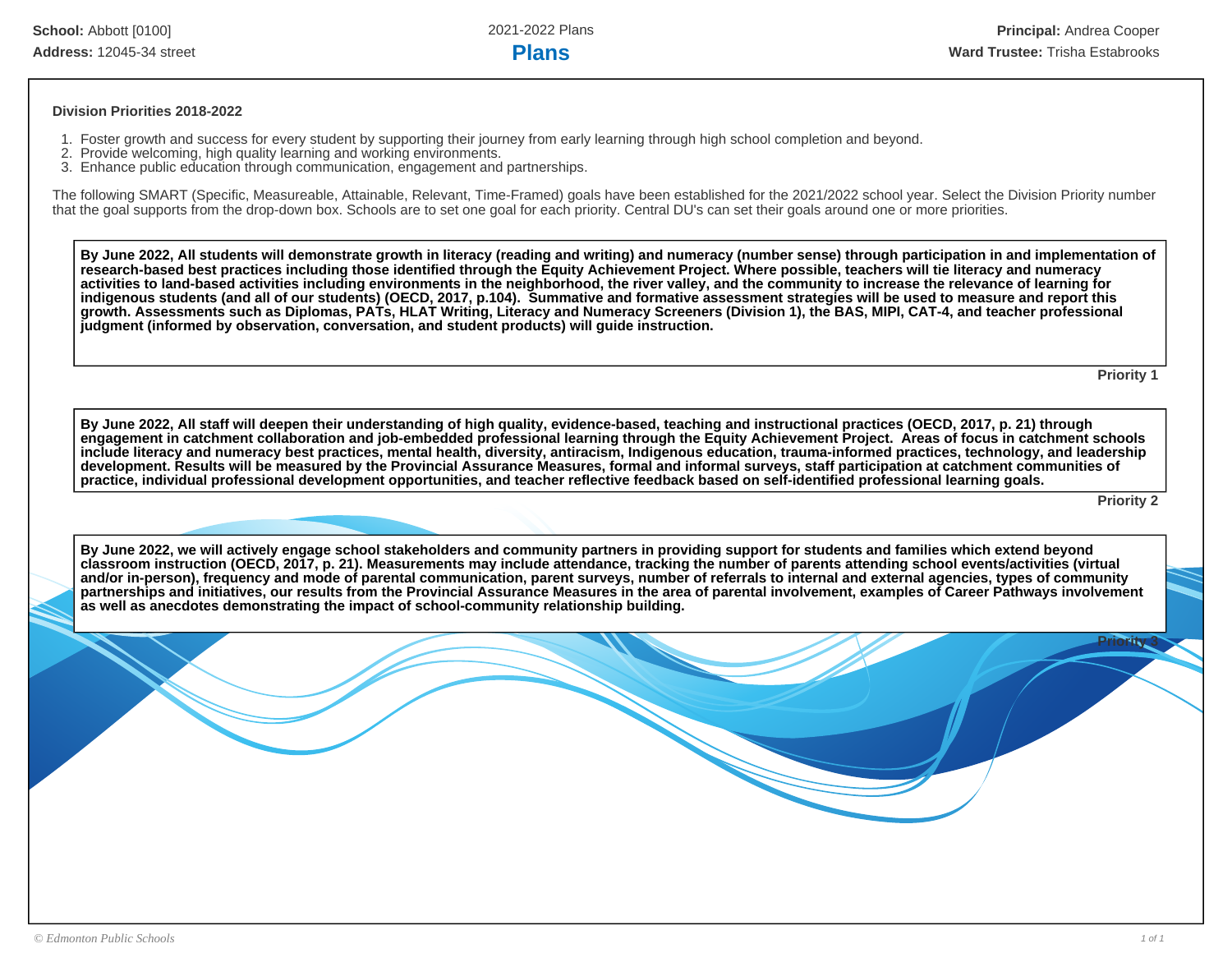#### **Division Priorities 2018-2022**

- 1. Foster growth and success for every student by supporting their journey from early learning through high school completion and beyond.
- 2. Provide welcoming, high quality learning and working environments.
- 3. Enhance public education through communication, engagement and partnerships.

The following SMART (Specific, Measureable, Attainable, Relevant, Time-Framed) goals have been established for the 2021/2022 school year. Select the Division Priority number that the goal supports from the drop-down box. Schools are to set one goal for each priority. Central DU's can set their goals around one or more priorities.

**By June 2022, All students will demonstrate growth in literacy (reading and writing) and numeracy (number sense) through participation in and implementation of research-based best practices including those identified through the Equity Achievement Project. Where possible, teachers will tie literacy and numeracy activities to land-based activities including environments in the neighborhood, the river valley, and the community to increase the relevance of learning for indigenous students (and all of our students) (OECD, 2017, p.104). Summative and formative assessment strategies will be used to measure and report this growth. Assessments such as Diplomas, PATs, HLAT Writing, Literacy and Numeracy Screeners (Division 1), the BAS, MIPI, CAT-4, and teacher professional judgment (informed by observation, conversation, and student products) will guide instruction.** 

**Priority 1**

**By June 2022, All staff will deepen their understanding of high quality, evidence-based, teaching and instructional practices (OECD, 2017, p. 21) through engagement in catchment collaboration and job-embedded professional learning through the Equity Achievement Project. Areas of focus in catchment schools include literacy and numeracy best practices, mental health, diversity, antiracism, Indigenous education, trauma-informed practices, technology, and leadership development. Results will be measured by the Provincial Assurance Measures, formal and informal surveys, staff participation at catchment communities of practice, individual professional development opportunities, and teacher reflective feedback based on self-identified professional learning goals.**

**Priority 2**

**Priority 3**

**By June 2022, we will actively engage school stakeholders and community partners in providing support for students and families which extend beyond classroom instruction (OECD, 2017, p. 21). Measurements may include attendance, tracking the number of parents attending school events/activities (virtual and/or in-person), frequency and mode of parental communication, parent surveys, number of referrals to internal and external agencies, types of community partnerships and initiatives, our results from the Provincial Assurance Measures in the area of parental involvement, examples of Career Pathways involvement as well as anecdotes demonstrating the impact of school-community relationship building.**